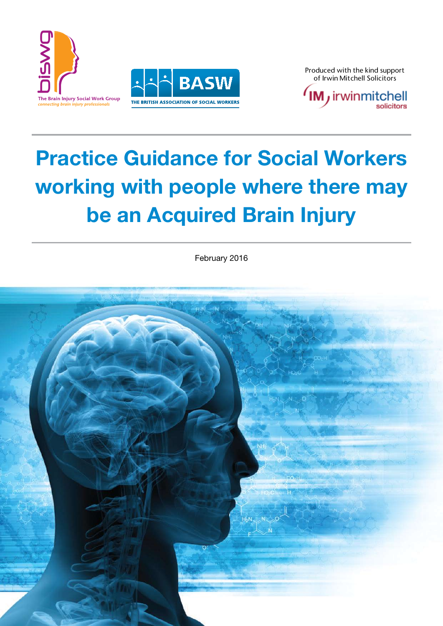



Produced with the kind support



# Practice Guidance for Social Workers Practice Guidance for Social Workers working with people where there may be an Acquired Brain Injury be an Acquired Brain Injury

February 2016

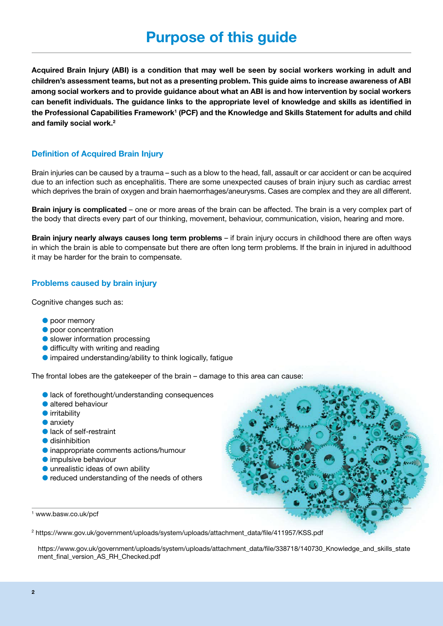Acquired Brain Injury (ABI) is a condition that may well be seen by social workers working in adult and children's assessment teams, but not as a presenting problem. This guide aims to increase awareness of ABI among social workers and to provide guidance about what an ABI is and how intervention by social workers can benefit individuals. The guidance links to the appropriate level of knowledge and skills as identified in the Professional Capabilities Framework<sup>1</sup> (PCF) and the Knowledge and Skills Statement for adults and child and family social work. 2

### Definition of Acquired Brain Injury

Brain injuries can be caused by a trauma – such as a blow to the head, fall, assault or car accident or can be acquired due to an infection such as encephalitis. There are some unexpected causes of brain injury such as cardiac arrest which deprives the brain of oxygen and brain haemorrhages/aneurysms. Cases are complex and they are all different.

Brain injury is complicated – one or more areas of the brain can be affected. The brain is a very complex part of the body that directs every part of our thinking, movement, behaviour, communication, vision, hearing and more.

Brain injury nearly always causes long term problems – if brain injury occurs in childhood there are often ways in which the brain is able to compensate but there are often long term problems. If the brain in injured in adulthood it may be harder for the brain to compensate.

#### Problems caused by brain injury

Cognitive changes such as:

- $\bullet$  poor memory
- **O** poor concentration
- $\bullet$  slower information processing
- � difficulty with writing and reading
- � impaired understanding/ability to think logically, fatigue

The frontal lobes are the gatekeeper of the brain – damage to this area can cause:

- lack of forethought/understanding consequences
- � altered behaviour
- � irritability
- $\bullet$  anxiety
- lack of self-restraint
- � disinhibition
- � inappropriate comments actions/humour
- � impulsive behaviour
- � unrealistic ideas of own ability
- $\bullet$  reduced understanding of the needs of others



<sup>1</sup> www.basw.co.uk/pcf

<sup>2</sup> https://www.gov.uk/government/uploads/system/uploads/attachment\_data/file/411957/KSS.pdf

https://www.gov.uk/government/uploads/system/uploads/attachment\_data/file/338718/140730\_Knowledge\_and\_skills\_state ment\_final\_version\_AS\_RH\_Checked.pdf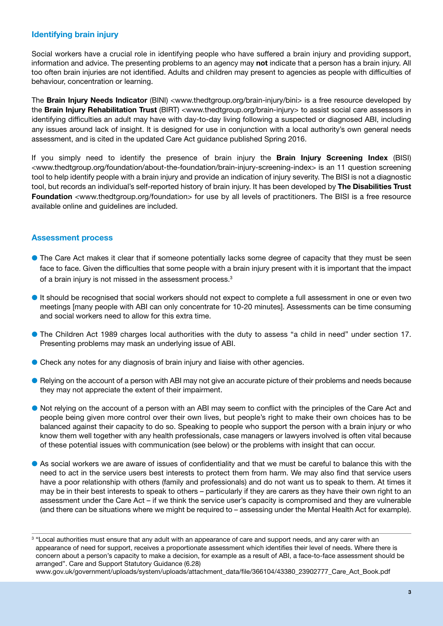## Identifying brain injury

Social workers have a crucial role in identifying people who have suffered a brain injury and providing support, information and advice. The presenting problems to an agency may not indicate that a person has a brain injury. All too often brain injuries are not identified. Adults and children may present to agencies as people with difficulties of behaviour, concentration or learning.

The Brain Injury Needs Indicator (BINI) <www.thedtgroup.org/brain-injury/bini> is a free resource developed by the Brain Injury Rehabilitation Trust (BIRT) <www.thedtgroup.org/brain-injury> to assist social care assessors in identifying difficulties an adult may have with day-to-day living following a suspected or diagnosed ABI, including any issues around lack of insight. It is designed for use in conjunction with a local authority's own general needs assessment, and is cited in the updated Care Act guidance published Spring 2016.

If you simply need to identify the presence of brain injury the Brain Injury Screening Index (BISI) <www.thedtgroup.org/foundation/about-the-foundation/brain-injury-screening-index> is an 11 question screening tool to help identify people with a brain injury and provide an indication of injury severity. The BISI is not a diagnostic tool, but records an individual's self-reported history of brain injury. It has been developed by The Disabilities Trust Foundation <www.thedtgroup.org/foundation> for use by all levels of practitioners. The BISI is a free resource available online and guidelines are included.

### Assessment process

- � The Care Act makes it clear that if someone potentially lacks some degree of capacity that they must be seen face to face. Given the difficulties that some people with a brain injury present with it is important that the impact of a brain injury is not missed in the assessment process.<sup>3</sup>
- � It should be recognised that social workers should not expect to complete a full assessment in one or even two meetings [many people with ABI can only concentrate for 10-20 minutes]. Assessments can be time consuming and social workers need to allow for this extra time.
- � The Children Act 1989 charges local authorities with the duty to assess "a child in need" under section 17. Presenting problems may mask an underlying issue of ABI.
- � Check any notes for any diagnosis of brain injury and liaise with other agencies.
- � Relying on the account of a person with ABI may not give an accurate picture of their problems and needs because they may not appreciate the extent of their impairment.
- � Not relying on the account of a person with an ABI may seem to conflict with the principles of the Care Act and people being given more control over their own lives, but people's right to make their own choices has to be balanced against their capacity to do so. Speaking to people who support the person with a brain injury or who know them well together with any health professionals, case managers or lawyers involved is often vital because of these potential issues with communication (see below) or the problems with insight that can occur.
- � As social workers we are aware of issues of confidentiality and that we must be careful to balance this with the need to act in the service users best interests to protect them from harm. We may also find that service users have a poor relationship with others (family and professionals) and do not want us to speak to them. At times it may be in their best interests to speak to others – particularly if they are carers as they have their own right to an assessment under the Care Act – if we think the service user's capacity is compromised and they are vulnerable (and there can be situations where we might be required to – assessing under the Mental Health Act for example).

www.gov.uk/government/uploads/system/uploads/attachment\_data/file/366104/43380\_23902777\_Care\_Act\_Book.pdf

<sup>&</sup>lt;sup>3</sup> "Local authorities must ensure that any adult with an appearance of care and support needs, and any carer with an appearance of need for support, receives a proportionate assessment which identifies their level of needs. Where there is concern about a person's capacity to make a decision, for example as a result of ABI, a face-to-face assessment should be arranged". Care and Support Statutory Guidance (6.28)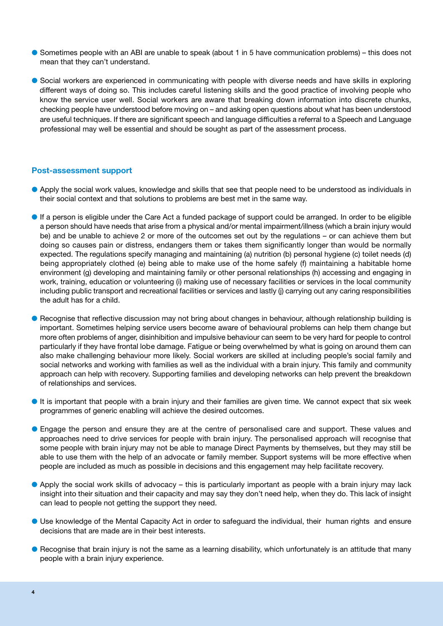- � Sometimes people with an ABI are unable to speak (about 1 in 5 have communication problems) this does not mean that they can't understand.
- � Social workers are experienced in communicating with people with diverse needs and have skills in exploring different ways of doing so. This includes careful listening skills and the good practice of involving people who know the service user well. Social workers are aware that breaking down information into discrete chunks, checking people have understood before moving on – and asking open questions about what has been understood are useful techniques. If there are significant speech and language difficulties a referral to a Speech and Language professional may well be essential and should be sought as part of the assessment process.

#### Post-assessment support

- � Apply the social work values, knowledge and skills that see that people need to be understood as individuals in their social context and that solutions to problems are best met in the same way.
- � If a person is eligible under the Care Act a funded package of support could be arranged. In order to be eligible a person should have needs that arise from a physical and/or mental impairment/illness (which a brain injury would be) and be unable to achieve 2 or more of the outcomes set out by the regulations – or can achieve them but doing so causes pain or distress, endangers them or takes them significantly longer than would be normally expected. The regulations specify managing and maintaining (a) nutrition (b) personal hygiene (c) toilet needs (d) being appropriately clothed (e) being able to make use of the home safely (f) maintaining a habitable home environment (g) developing and maintaining family or other personal relationships (h) accessing and engaging in work, training, education or volunteering (i) making use of necessary facilities or services in the local community including public transport and recreational facilities or services and lastly (j) carrying out any caring responsibilities the adult has for a child.
- � Recognise that reflective discussion may not bring about changes in behaviour, although relationship building is important. Sometimes helping service users become aware of behavioural problems can help them change but more often problems of anger, disinhibition and impulsive behaviour can seem to be very hard for people to control particularly if they have frontal lobe damage. Fatigue or being overwhelmed by what is going on around them can also make challenging behaviour more likely. Social workers are skilled at including people's social family and social networks and working with families as well as the individual with a brain injury. This family and community approach can help with recovery. Supporting families and developing networks can help prevent the breakdown of relationships and services.
- � It is important that people with a brain injury and their families are given time. We cannot expect that six week programmes of generic enabling will achieve the desired outcomes.
- � Engage the person and ensure they are at the centre of personalised care and support. These values and approaches need to drive services for people with brain injury. The personalised approach will recognise that some people with brain injury may not be able to manage Direct Payments by themselves, but they may still be able to use them with the help of an advocate or family member. Support systems will be more effective when people are included as much as possible in decisions and this engagement may help facilitate recovery.
- � Apply the social work skills of advocacy this is particularly important as people with a brain injury may lack insight into their situation and their capacity and may say they don't need help, when they do. This lack of insight can lead to people not getting the support they need.
- � Use knowledge of the Mental Capacity Act in order to safeguard the individual, their human rights and ensure decisions that are made are in their best interests.
- � Recognise that brain injury is not the same as a learning disability, which unfortunately is an attitude that many people with a brain injury experience.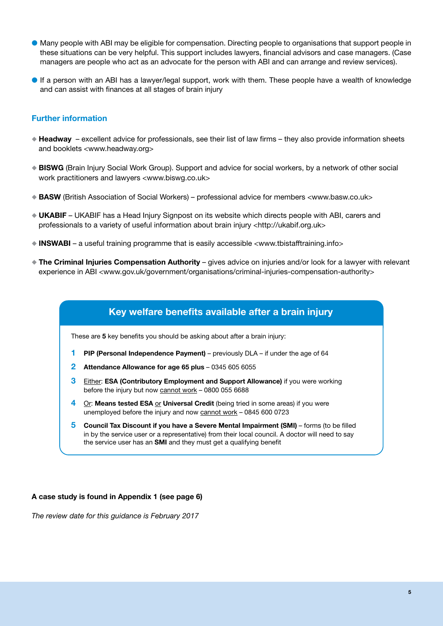- � Many people with ABI may be eligible for compensation. Directing people to organisations that support people in these situations can be very helpful. This support includes lawyers, financial advisors and case managers. (Case managers are people who act as an advocate for the person with ABI and can arrange and review services).
- � If a person with an ABI has a lawyer/legal support, work with them. These people have a wealth of knowledge and can assist with finances at all stages of brain injury

#### Further information

- $\bullet$  Headway excellent advice for professionals, see their list of law firms they also provide information sheets and booklets <www.headway.org>
- ◆ BISWG (Brain Injury Social Work Group). Support and advice for social workers, by a network of other social work practitioners and lawyers <www.biswg.co.uk>
- � BASW (British Association of Social Workers) professional advice for members <www.basw.co.uk>
- � UKABIF UKABIF has a Head Injury Signpost on its website which directs people with ABI, carers and professionals to a variety of useful information about brain injury <http://ukabif.org.uk>
- � INSWABI a useful training programme that is easily accessible <www.tbistafftraining.info>
- � The Criminal Injuries Compensation Authority gives advice on injuries and/or look for a lawyer with relevant experience in ABI <www.gov.uk/government/organisations/criminal-injuries-compensation-authority>

## Key welfare benefits available after a brain injury

These are 5 key benefits you should be asking about after a brain injury:

- 1 PIP (Personal Independence Payment) previously DLA if under the age of 64
- 2 Attendance Allowance for age 65 plus 0345 605 6055
- **3** Either: **ESA (Contributory Employment and Support Allowance)** if you were working before the injury but now cannot work – 0800 055 6688
- 4 Or: Means tested ESA or Universal Credit (being tried in some areas) if you were unemployed before the injury and now cannot work – 0845 600 0723
- 5 Council Tax Discount if you have a Severe Mental Impairment (SMI) forms (to be filled in by the service user or a representative) from their local council. A doctor will need to say the service user has an SMI and they must get a qualifying benefit

#### A case study is found in Appendix 1 (see page 6)

*The review date for this guidance is February 2017*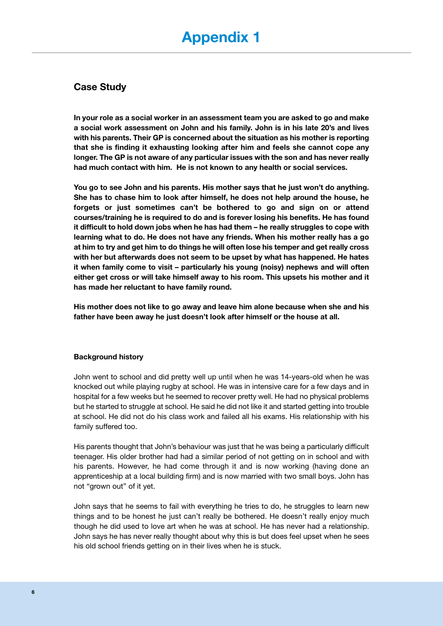# Case Study

In your role as a social worker in an assessment team you are asked to go and make a social work assessment on John and his family. John is in his late 20's and lives with his parents. Their GP is concerned about the situation as his mother is reporting that she is finding it exhausting looking after him and feels she cannot cope any longer. The GP is not aware of any particular issues with the son and has never really had much contact with him. He is not known to any health or social services.

You go to see John and his parents. His mother says that he just won't do anything. She has to chase him to look after himself, he does not help around the house, he forgets or just sometimes can't be bothered to go and sign on or attend courses/training he is required to do and is forever losing his benefits. He has found it difficult to hold down jobs when he has had them – he really struggles to cope with learning what to do. He does not have any friends. When his mother really has a go at him to try and get him to do things he will often lose his temper and get really cross with her but afterwards does not seem to be upset by what has happened. He hates it when family come to visit – particularly his young (noisy) nephews and will often either get cross or will take himself away to his room. This upsets his mother and it has made her reluctant to have family round.

His mother does not like to go away and leave him alone because when she and his father have been away he just doesn't look after himself or the house at all.

#### Background history

John went to school and did pretty well up until when he was 14-years-old when he was knocked out while playing rugby at school. He was in intensive care for a few days and in hospital for a few weeks but he seemed to recover pretty well. He had no physical problems but he started to struggle at school. He said he did not like it and started getting into trouble at school. He did not do his class work and failed all his exams. His relationship with his family suffered too.

His parents thought that John's behaviour was just that he was being a particularly difficult teenager. His older brother had had a similar period of not getting on in school and with his parents. However, he had come through it and is now working (having done an apprenticeship at a local building firm) and is now married with two small boys. John has not "grown out" of it yet.

John says that he seems to fail with everything he tries to do, he struggles to learn new things and to be honest he just can't really be bothered. He doesn't really enjoy much though he did used to love art when he was at school. He has never had a relationship. John says he has never really thought about why this is but does feel upset when he sees his old school friends getting on in their lives when he is stuck.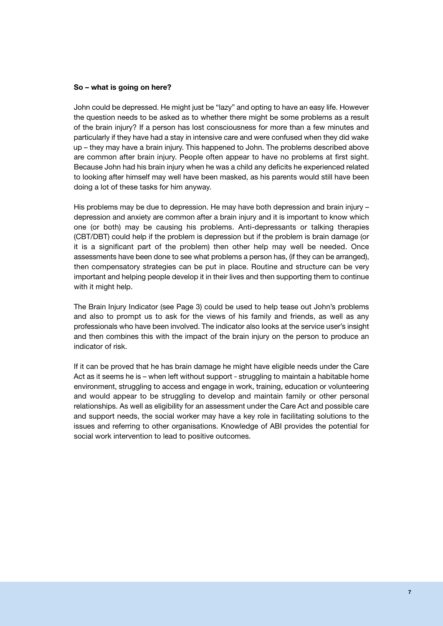#### So – what is going on here?

John could be depressed. He might just be "lazy" and opting to have an easy life. However the question needs to be asked as to whether there might be some problems as a result of the brain injury? If a person has lost consciousness for more than a few minutes and particularly if they have had a stay in intensive care and were confused when they did wake up – they may have a brain injury. This happened to John. The problems described above are common after brain injury. People often appear to have no problems at first sight. Because John had his brain injury when he was a child any deficits he experienced related to looking after himself may well have been masked, as his parents would still have been doing a lot of these tasks for him anyway.

His problems may be due to depression. He may have both depression and brain injury – depression and anxiety are common after a brain injury and it is important to know which one (or both) may be causing his problems. Anti-depressants or talking therapies (CBT/DBT) could help if the problem is depression but if the problem is brain damage (or it is a significant part of the problem) then other help may well be needed. Once assessments have been done to see what problems a person has, (if they can be arranged), then compensatory strategies can be put in place. Routine and structure can be very important and helping people develop it in their lives and then supporting them to continue with it might help.

The Brain Injury Indicator (see Page 3) could be used to help tease out John's problems and also to prompt us to ask for the views of his family and friends, as well as any professionals who have been involved. The indicator also looks at the service user's insight and then combines this with the impact of the brain injury on the person to produce an indicator of risk.

If it can be proved that he has brain damage he might have eligible needs under the Care Act as it seems he is – when left without support - struggling to maintain a habitable home environment, struggling to access and engage in work, training, education or volunteering and would appear to be struggling to develop and maintain family or other personal relationships. As well as eligibility for an assessment under the Care Act and possible care and support needs, the social worker may have a key role in facilitating solutions to the issues and referring to other organisations. Knowledge of ABI provides the potential for social work intervention to lead to positive outcomes.